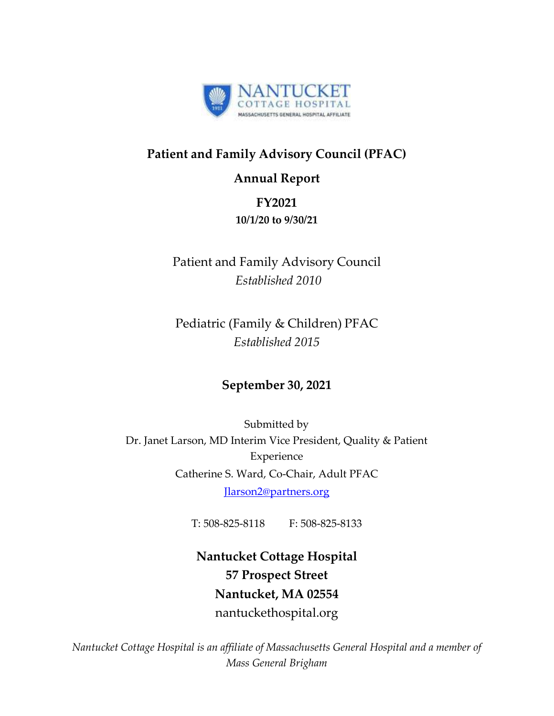

## **Patient and Family Advisory Council (PFAC)**

### **Annual Report**

## **FY2021**

### **10/1/20 to 9/30/21**

Patient and Family Advisory Council *Established 2010*

Pediatric (Family & Children) PFAC *Established 2015*

## **September 30, 2021**

Submitted by Dr. Janet Larson, MD Interim Vice President, Quality & Patient Experience Catherine S. Ward, Co-Chair, Adult PFAC [Jlarson2@partners.org](mailto:Jlarson2@partners.org) 

T: 508-825-8118 F: 508-825-8133

**Nantucket Cottage Hospital 57 Prospect Street Nantucket, MA 02554** nantuckethospital.org

*Nantucket Cottage Hospital is an affiliate of Massachusetts General Hospital and a member of Mass General Brigham*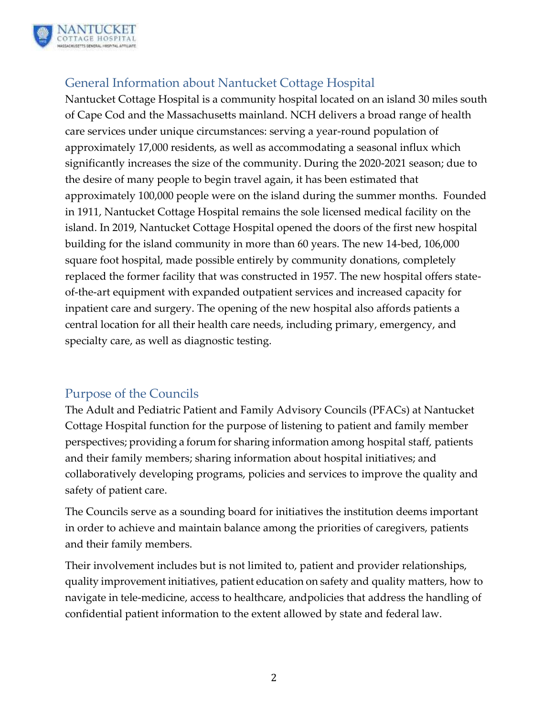

## General Information about Nantucket Cottage Hospital

Nantucket Cottage Hospital is a community hospital located on an island 30 miles south of Cape Cod and the Massachusetts mainland. NCH delivers a broad range of health care services under unique circumstances: serving a year-round population of approximately 17,000 residents, as well as accommodating a seasonal influx which significantly increases the size of the community. During the 2020-2021 season; due to the desire of many people to begin travel again, it has been estimated that approximately 100,000 people were on the island during the summer months. Founded in 1911, Nantucket Cottage Hospital remains the sole licensed medical facility on the island. In 2019, Nantucket Cottage Hospital opened the doors of the first new hospital building for the island community in more than 60 years. The new 14-bed, 106,000 square foot hospital, made possible entirely by community donations, completely replaced the former facility that was constructed in 1957. The new hospital offers stateof-the-art equipment with expanded outpatient services and increased capacity for inpatient care and surgery. The opening of the new hospital also affords patients a central location for all their health care needs, including primary, emergency, and specialty care, as well as diagnostic testing.

### Purpose of the Councils

The Adult and Pediatric Patient and Family Advisory Councils (PFACs) at Nantucket Cottage Hospital function for the purpose of listening to patient and family member perspectives; providing a forum for sharing information among hospital staff, patients and their family members; sharing information about hospital initiatives; and collaboratively developing programs, policies and services to improve the quality and safety of patient care.

The Councils serve as a sounding board for initiatives the institution deems important in order to achieve and maintain balance among the priorities of caregivers, patients and their family members.

Their involvement includes but is not limited to, patient and provider relationships, quality improvement initiatives, patient education on safety and quality matters, how to navigate in tele-medicine, access to healthcare, andpolicies that address the handling of confidential patient information to the extent allowed by state and federal law.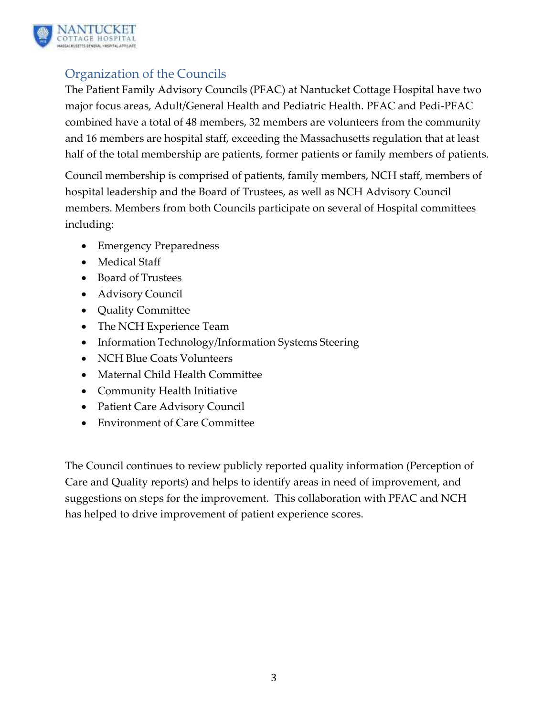

## Organization of the Councils

The Patient Family Advisory Councils (PFAC) at Nantucket Cottage Hospital have two major focus areas, Adult/General Health and Pediatric Health. PFAC and Pedi-PFAC combined have a total of 48 members, 32 members are volunteers from the community and 16 members are hospital staff, exceeding the Massachusetts regulation that at least half of the total membership are patients, former patients or family members of patients.

Council membership is comprised of patients, family members, NCH staff, members of hospital leadership and the Board of Trustees, as well as NCH Advisory Council members. Members from both Councils participate on several of Hospital committees including:

- Emergency Preparedness
- Medical Staff
- Board of Trustees
- Advisory Council
- Quality Committee
- The NCH Experience Team
- Information Technology/Information Systems Steering
- NCH Blue Coats Volunteers
- Maternal Child Health Committee
- Community Health Initiative
- Patient Care Advisory Council
- Environment of Care Committee

The Council continues to review publicly reported quality information (Perception of Care and Quality reports) and helps to identify areas in need of improvement, and suggestions on steps for the improvement. This collaboration with PFAC and NCH has helped to drive improvement of patient experience scores.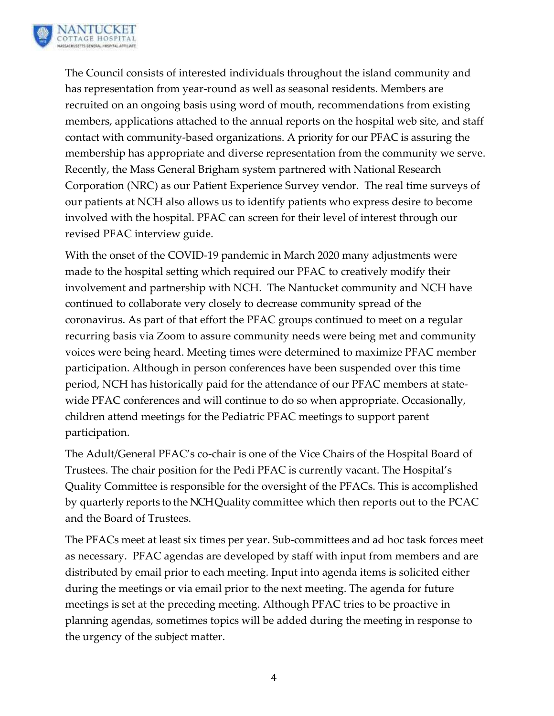

The Council consists of interested individuals throughout the island community and has representation from year-round as well as seasonal residents. Members are recruited on an ongoing basis using word of mouth, recommendations from existing members, applications attached to the annual reports on the hospital web site, and staff contact with community-based organizations. A priority for our PFAC is assuring the membership has appropriate and diverse representation from the community we serve. Recently, the Mass General Brigham system partnered with National Research Corporation (NRC) as our Patient Experience Survey vendor. The real time surveys of our patients at NCH also allows us to identify patients who express desire to become involved with the hospital. PFAC can screen for their level of interest through our revised PFAC interview guide.

With the onset of the COVID-19 pandemic in March 2020 many adjustments were made to the hospital setting which required our PFAC to creatively modify their involvement and partnership with NCH. The Nantucket community and NCH have continued to collaborate very closely to decrease community spread of the coronavirus. As part of that effort the PFAC groups continued to meet on a regular recurring basis via Zoom to assure community needs were being met and community voices were being heard. Meeting times were determined to maximize PFAC member participation. Although in person conferences have been suspended over this time period, NCH has historically paid for the attendance of our PFAC members at statewide PFAC conferences and will continue to do so when appropriate. Occasionally, children attend meetings for the Pediatric PFAC meetings to support parent participation.

The Adult/General PFAC's co-chair is one of the Vice Chairs of the Hospital Board of Trustees. The chair position for the Pedi PFAC is currently vacant. The Hospital's Quality Committee is responsible for the oversight of the PFACs. This is accomplished by quarterly reports to the NCH Quality committee which then reports out to the PCAC and the Board of Trustees.

The PFACs meet at least six times per year. Sub-committees and ad hoc task forces meet as necessary. PFAC agendas are developed by staff with input from members and are distributed by email prior to each meeting. Input into agenda items is solicited either during the meetings or via email prior to the next meeting. The agenda for future meetings is set at the preceding meeting. Although PFAC tries to be proactive in planning agendas, sometimes topics will be added during the meeting in response to the urgency of the subject matter.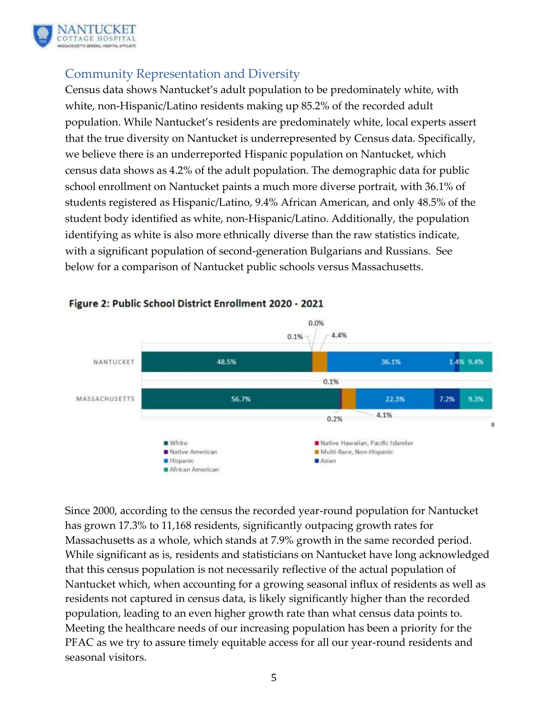

## Community Representation and Diversity

Census data shows Nantucket's adult population to be predominately white, with white, non-Hispanic/Latino residents making up 85.2% of the recorded adult population. While Nantucket's residents are predominately white, local experts assert that the true diversity on Nantucket is underrepresented by Census data. Specifically, we believe there is an underreported Hispanic population on Nantucket, which census data shows as 4.2% of the adult population. The demographic data for public school enrollment on Nantucket paints a much more diverse portrait, with 36.1% of students registered as Hispanic/Latino, 9.4% African American, and only 48.5% of the student body identified as white, non-Hispanic/Latino. Additionally, the population identifying as white is also more ethnically diverse than the raw statistics indicate, with a significant population of second-generation Bulgarians and Russians. See below for a comparison of Nantucket public schools versus Massachusetts.



#### Figure 2: Public School District Enrollment 2020 - 2021

Since 2000, according to the census the recorded year-round population for Nantucket has grown 17.3% to 11,168 residents, significantly outpacing growth rates for Massachusetts as a whole, which stands at 7.9% growth in the same recorded period. While significant as is, residents and statisticians on Nantucket have long acknowledged that this census population is not necessarily reflective of the actual population of Nantucket which, when accounting for a growing seasonal influx of residents as well as residents not captured in census data, is likely significantly higher than the recorded population, leading to an even higher growth rate than what census data points to. Meeting the healthcare needs of our increasing population has been a priority for the PFAC as we try to assure timely equitable access for all our year-round residents and seasonal visitors.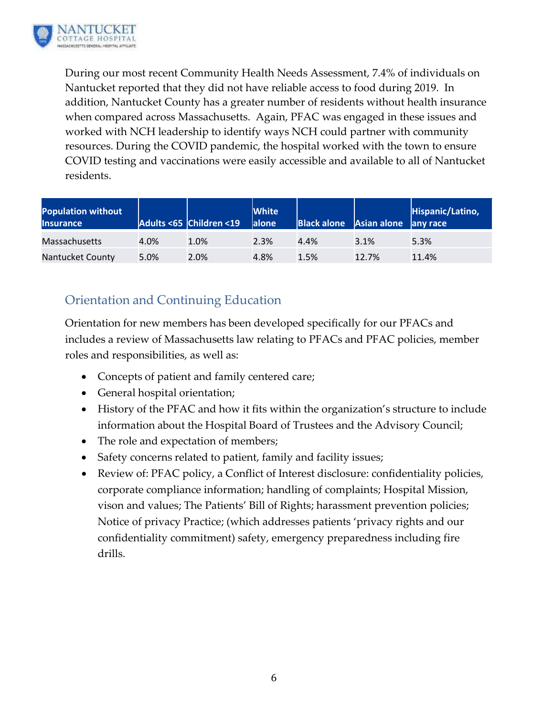

During our most recent Community Health Needs Assessment, 7.4% of individuals on Nantucket reported that they did not have reliable access to food during 2019. In addition, Nantucket County has a greater number of residents without health insurance when compared across Massachusetts. Again, PFAC was engaged in these issues and worked with NCH leadership to identify ways NCH could partner with community resources. During the COVID pandemic, the hospital worked with the town to ensure COVID testing and vaccinations were easily accessible and available to all of Nantucket residents.

| <b>Population without</b><br><b>Insurance</b> |      | Adults <65 Children <19 | <b>White</b><br>alone | Black alone Asian alone any race |       | Hispanic/Latino, |
|-----------------------------------------------|------|-------------------------|-----------------------|----------------------------------|-------|------------------|
| <b>Massachusetts</b>                          | 4.0% | 1.0%                    | 2.3%                  | 4.4%                             | 3.1%  | 5.3%             |
| <b>Nantucket County</b>                       | 5.0% | 2.0%                    | 4.8%                  | 1.5%                             | 12.7% | 11.4%            |

## Orientation and Continuing Education

Orientation for new members has been developed specifically for our PFACs and includes a review of Massachusetts law relating to PFACs and PFAC policies, member roles and responsibilities, as well as:

- Concepts of patient and family centered care;
- General hospital orientation;
- History of the PFAC and how it fits within the organization's structure to include information about the Hospital Board of Trustees and the Advisory Council;
- The role and expectation of members;
- Safety concerns related to patient, family and facility issues;
- Review of: PFAC policy, a Conflict of Interest disclosure: confidentiality policies, corporate compliance information; handling of complaints; Hospital Mission, vison and values; The Patients' Bill of Rights; harassment prevention policies; Notice of privacy Practice; (which addresses patients 'privacy rights and our confidentiality commitment) safety, emergency preparedness including fire drills.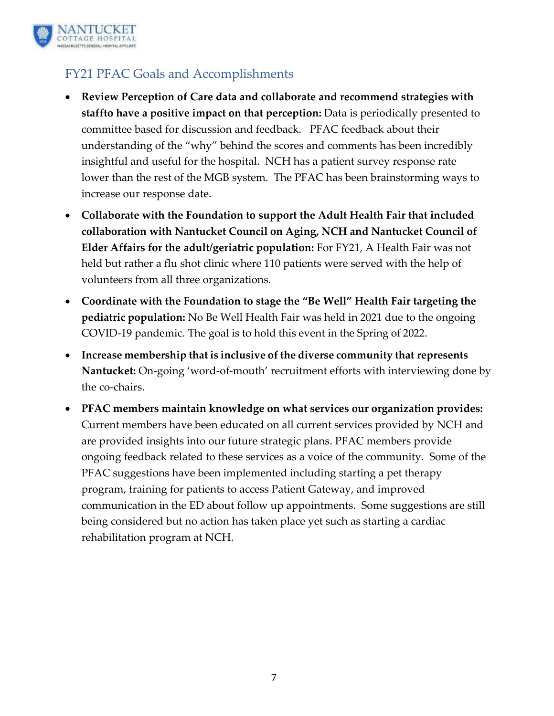

## FY21 PFAC Goals and Accomplishments

- **Review Perception of Care data and collaborate and recommend strategies with staffto have a positive impact on that perception:** Data is periodically presented to committee based for discussion and feedback. PFAC feedback about their understanding of the "why" behind the scores and comments has been incredibly insightful and useful for the hospital. NCH has a patient survey response rate lower than the rest of the MGB system. The PFAC has been brainstorming ways to increase our response date.
- **Collaborate with the Foundation to support the Adult Health Fair that included collaboration with Nantucket Council on Aging, NCH and Nantucket Council of Elder Affairs for the adult/geriatric population:** For FY21, A Health Fair was not held but rather a flu shot clinic where 110 patients were served with the help of volunteers from all three organizations.
- **Coordinate with the Foundation to stage the "Be Well" Health Fair targeting the pediatric population:** No Be Well Health Fair was held in 2021 due to the ongoing COVID-19 pandemic. The goal is to hold this event in the Spring of 2022.
- **Increase membership that is inclusive of the diverse community that represents Nantucket:** On-going 'word-of-mouth' recruitment efforts with interviewing done by the co-chairs.
- **PFAC members maintain knowledge on what services our organization provides:** Current members have been educated on all current services provided by NCH and are provided insights into our future strategic plans. PFAC members provide ongoing feedback related to these services as a voice of the community. Some of the PFAC suggestions have been implemented including starting a pet therapy program, training for patients to access Patient Gateway, and improved communication in the ED about follow up appointments. Some suggestions are still being considered but no action has taken place yet such as starting a cardiac rehabilitation program at NCH.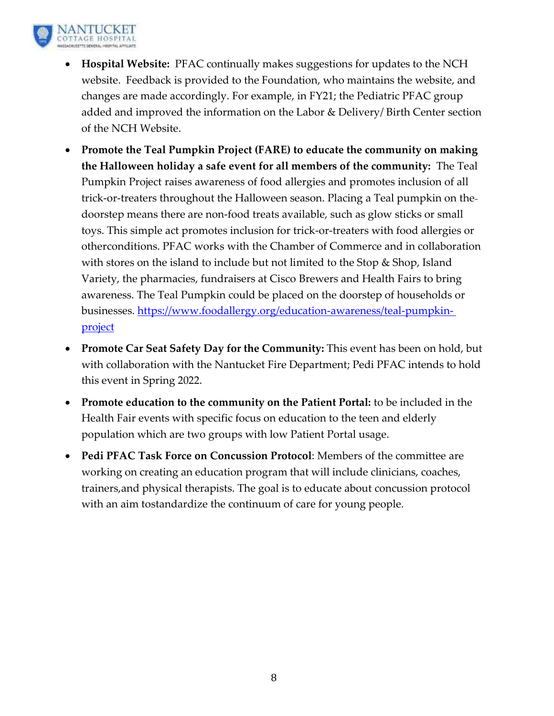

- **Hospital Website:** PFAC continually makes suggestions for updates to the NCH website. Feedback is provided to the Foundation, who maintains the website, and changes are made accordingly. For example, in FY21; the Pediatric PFAC group added and improved the information on the Labor & Delivery/ Birth Center section of the NCH Website.
- **Promote the Teal Pumpkin Project (FARE) to educate the community on making the Halloween holiday a safe event for all members of the community:** The Teal Pumpkin Project raises awareness of food allergies and promotes inclusion of all trick-or-treaters throughout the Halloween season. Placing a Teal pumpkin on the doorstep means there are non-food treats available, such as glow sticks or small toys. This simple act promotes inclusion for trick-or-treaters with food allergies or otherconditions. PFAC works with the Chamber of Commerce and in collaboration with stores on the island to include but not limited to the Stop & Shop, Island Variety, the pharmacies, fundraisers at Cisco Brewers and Health Fairs to bring awareness. The Teal Pumpkin could be placed on the doorstep of households or businesses. [https://www.foodallergy.org/education-awareness/teal-pumpkin](https://www.foodallergy.org/education-awareness/teal-pumpkin-)[project](https://www.foodallergy.org/education-awareness/teal-pumpkin-project)
- **Promote Car Seat Safety Day for the Community:** This event has been on hold, but with collaboration with the Nantucket Fire Department; Pedi PFAC intends to hold this event in Spring 2022.
- **Promote education to the community on the Patient Portal:** to be included in the Health Fair events with specific focus on education to the teen and elderly population which are two groups with low Patient Portal usage.
- **Pedi PFAC Task Force on Concussion Protocol**: Members of the committee are working on creating an education program that will include clinicians, coaches, trainers,and physical therapists. The goal is to educate about concussion protocol with an aim tostandardize the continuum of care for young people.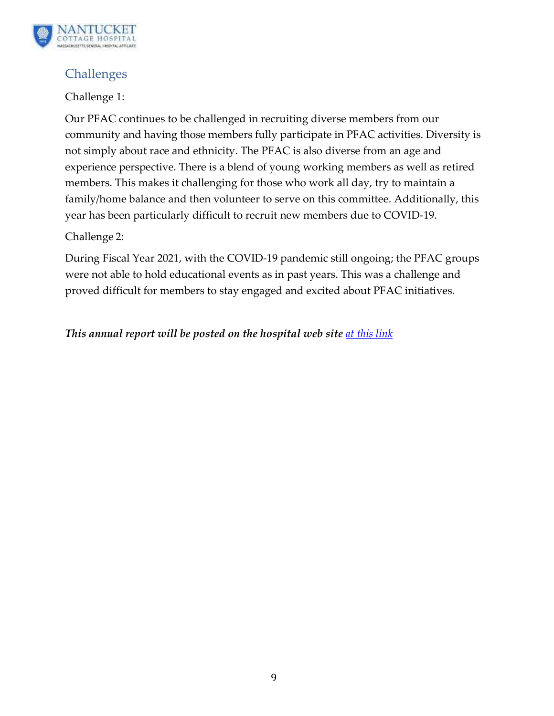

## Challenges

### Challenge 1:

Our PFAC continues to be challenged in recruiting diverse members from our community and having those members fully participate in PFAC activities. Diversity is not simply about race and ethnicity. The PFAC is also diverse from an age and experience perspective. There is a blend of young working members as well as retired members. This makes it challenging for those who work all day, try to maintain a family/home balance and then volunteer to serve on this committee. Additionally, this year has been particularly difficult to recruit new members due to COVID-19.

### Challenge 2:

During Fiscal Year 2021, with the COVID-19 pandemic still ongoing; the PFAC groups were not able to hold educational events as in past years. This was a challenge and proved difficult for members to stay engaged and excited about PFAC initiatives.

### *This annual report will be posted on the hospital web site [at this](https://nantuckethospital.org/about-us/leadership/boards-councils/patient-and-family-advisory-committee/) link*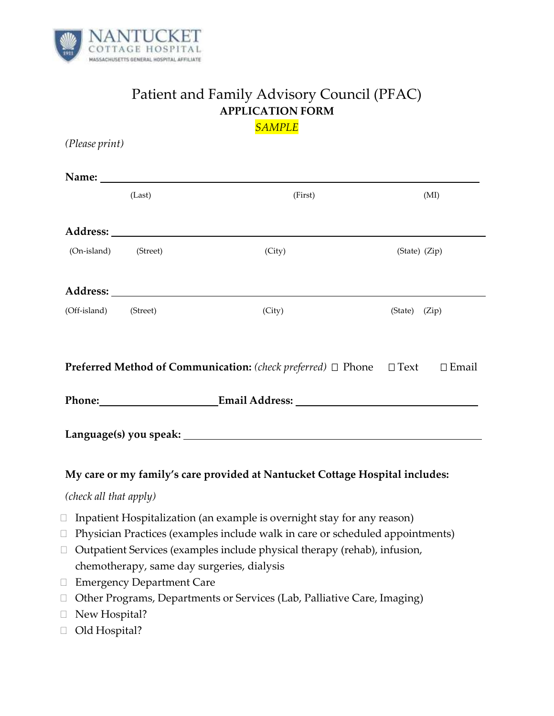

# Patient and Family Advisory Council (PFAC) **APPLICATION FORM**

*SAMPLE*

*(Please print)* **Name:**  (Last) (First) (MI) **Address:** (On-island) (Street) (City) (Street) (City) (State) (Zip) **Address:** (Off-island) (Street) (City) (City) (State) (Zip) **Preferred Method of Communication:** (*check preferred*) □ Phone □ Text □ Email **Phone: Email Address: Language(s) you speak: My care or my family's care provided at Nantucket Cottage Hospital includes:** *(check all that apply)*  $\Box$  Inpatient Hospitalization (an example is overnight stay for any reason)  $\Box$  Physician Practices (examples include walk in care or scheduled appointments)  $\Box$  Outpatient Services (examples include physical therapy (rehab), infusion, chemotherapy, same day surgeries, dialysis □ Emergency Department Care □ Other Programs, Departments or Services (Lab, Palliative Care, Imaging) □ New Hospital?

□ Old Hospital?